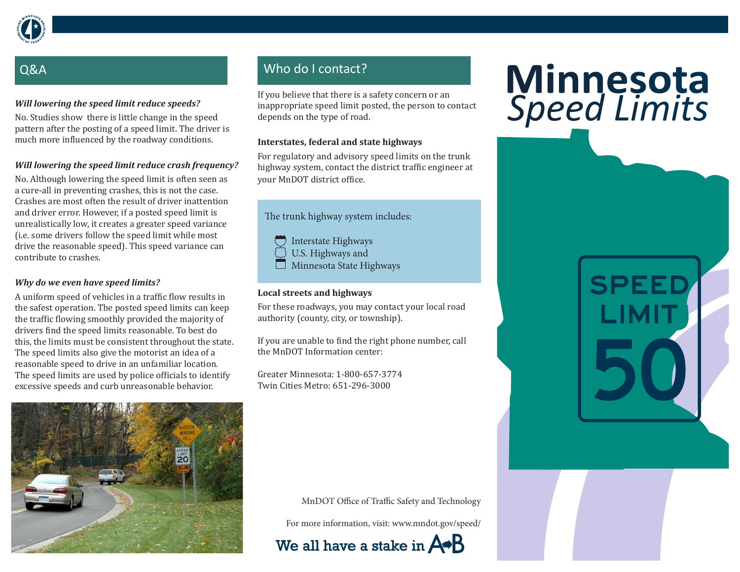

# Q&A

## *Will lowering the speed limit reduce speeds?*

No. Studies show there is little change in the speed pattern after the posting of a speed limit. The driver is much more influenced by the roadway conditions.

## *Will lowering the speed limit reduce crash frequency?*

No. Although lowering the speed limit is often seen as a cure-all in preventing crashes, this is not the case. Crashes are most often the result of driver inattention and driver error. However, if a posted speed limit is unrealistically low, it creates a greater speed variance (i.e. some drivers follow the speed limit while most drive the reasonable speed). This speed variance can contribute to crashes.

## *Why do we even have speed limits?*

A uniform speed of vehicles in a traffic flow results in the safest operation. The posted speed limits can keep the traffic flowing smoothly provided the majority of drivers find the speed limits reasonable. To best do this, the limits must be consistent throughout the state. The speed limits also give the motorist an idea of a reasonable speed to drive in an unfamiliar location. The speed limits are used by police officials to identify excessive speeds and curb unreasonable behavior.



## Who do I contact?

If you believe that there is a safety concern or an inappropriate speed limit posted, the person to contact depends on the type of road.

### **Interstates, federal and state highways**

For regulatory and advisory speed limits on the trunk highway system, contact the district traffic engineer at your MnDOT district office.

The trunk highway system includes:

Interstate Highways U.S. Highways and Minnesota State Highways

## **Local streets and highways**

For these roadways, you may contact your local road authority (county, city, or township).

If you are unable to find the right phone number, call the MnDOT Information center:

Greater Minnesota: 1-800-657-3774 Twin Cities Metro: 651-296-3000

MnDOT Office of Traffic Safety and Technology

For more information, visit: www.mndot.gov/speed/



# Minnesota<br>Speed Limits